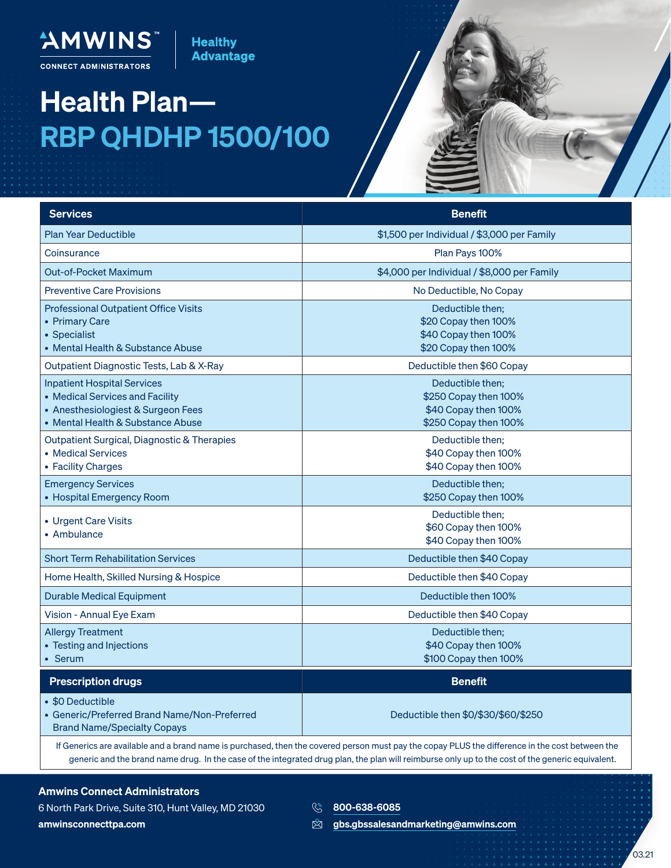"AMWINS **CONNECT ADMINISTRATORS** 

## Health Plan— RBP QHDHP 1500/100

**Healthy Advantage** 

| <b>Services</b>                                                                                                                                  | <b>Benefit</b>                                                                             |
|--------------------------------------------------------------------------------------------------------------------------------------------------|--------------------------------------------------------------------------------------------|
| <b>Plan Year Deductible</b>                                                                                                                      | \$1,500 per Individual / \$3,000 per Family                                                |
| Coinsurance                                                                                                                                      | Plan Pays 100%                                                                             |
| <b>Out-of-Pocket Maximum</b>                                                                                                                     | \$4,000 per Individual / \$8,000 per Family                                                |
| <b>Preventive Care Provisions</b>                                                                                                                | No Deductible, No Copay                                                                    |
| <b>Professional Outpatient Office Visits</b><br>• Primary Care<br>• Specialist<br>• Mental Health & Substance Abuse                              | Deductible then:<br>\$20 Copay then 100%<br>\$40 Copay then 100%<br>\$20 Copay then 100%   |
| Outpatient Diagnostic Tests, Lab & X-Ray                                                                                                         | Deductible then \$60 Copay                                                                 |
| <b>Inpatient Hospital Services</b><br>• Medical Services and Facility<br>• Anesthesiologiest & Surgeon Fees<br>• Mental Health & Substance Abuse | Deductible then;<br>\$250 Copay then 100%<br>\$40 Copay then 100%<br>\$250 Copay then 100% |
| Outpatient Surgical, Diagnostic & Therapies<br>• Medical Services<br>• Facility Charges                                                          | Deductible then;<br>\$40 Copay then 100%<br>\$40 Copay then 100%                           |
| <b>Emergency Services</b><br>• Hospital Emergency Room                                                                                           | Deductible then;<br>\$250 Copay then 100%                                                  |
| • Urgent Care Visits<br>• Ambulance                                                                                                              | Deductible then:<br>\$60 Copay then 100%<br>\$40 Copay then 100%                           |
| <b>Short Term Rehabilitation Services</b>                                                                                                        | Deductible then \$40 Copay                                                                 |
| Home Health, Skilled Nursing & Hospice                                                                                                           | Deductible then \$40 Copay                                                                 |
| <b>Durable Medical Equipment</b>                                                                                                                 | Deductible then 100%                                                                       |
| Vision - Annual Eye Exam                                                                                                                         | Deductible then \$40 Copay                                                                 |
| <b>Allergy Treatment</b><br>• Testing and Injections<br>• Serum                                                                                  | Deductible then;<br>\$40 Copay then 100%<br>\$100 Copay then 100%                          |
| <b>Prescription drugs</b>                                                                                                                        | <b>Benefit</b>                                                                             |
| • \$0 Deductible<br>• Generic/Preferred Brand Name/Non-Preferred<br><b>Brand Name/Specialty Copays</b>                                           | Deductible then \$0/\$30/\$60/\$250                                                        |

If Generics are available and a brand name is purchased, then the covered person must pay the copay PLUS the difference in the cost between the generic and the brand name drug. In the case of the integrated drug plan, the plan will reimburse only up to the cost of the generic equivalent.

## Amwins Connect Administrators

6 North Park Drive, Suite 310, Hunt Valley, MD 21030 amwinsconnecttpa.com

- **800-638-6085**
- $\mathbb{Z}$ gbs.gbssalesandmarketing@amwins.com